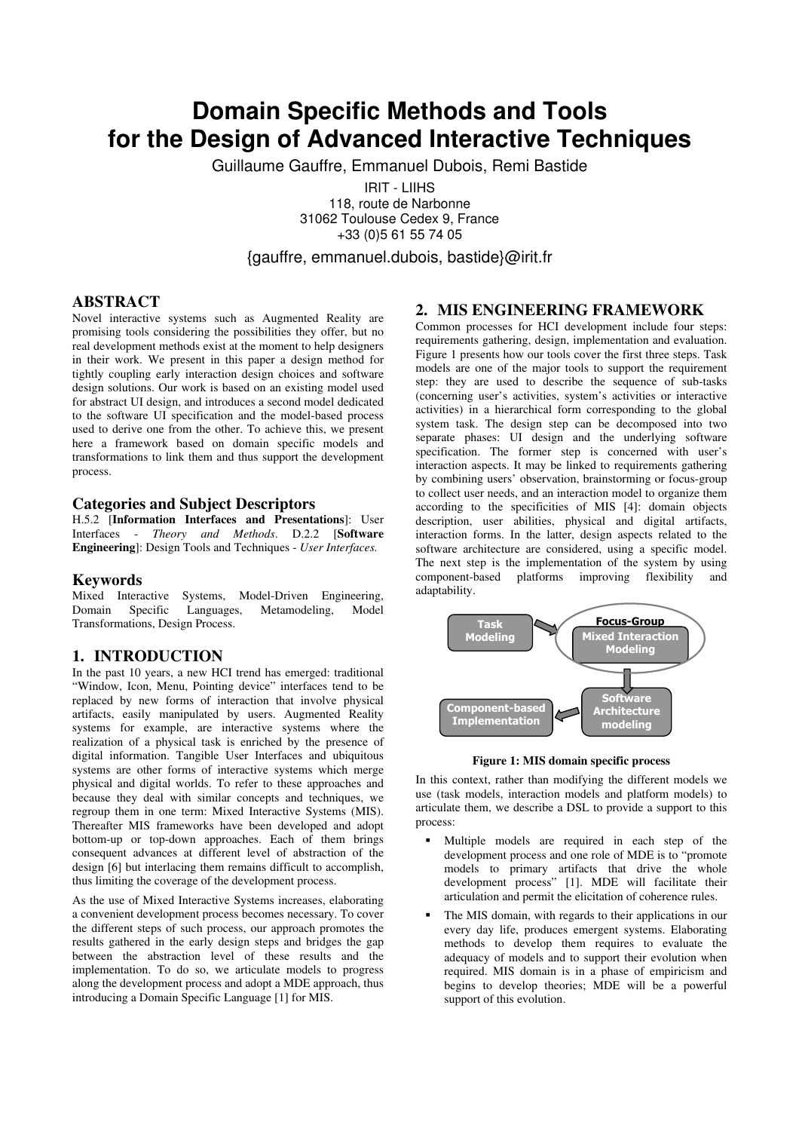# **Domain Specific Methods and Tools for the Design of Advanced Interactive Techniques**

Guillaume Gauffre, Emmanuel Dubois, Remi Bastide

IRIT - LIIHS 118, route de Narbonne 31062 Toulouse Cedex 9, France +33 (0)5 61 55 74 05

{gauffre, emmanuel.dubois, bastide}@irit.fr

# **ABSTRACT**

Novel interactive systems such as Augmented Reality are promising tools considering the possibilities they offer, but no real development methods exist at the moment to help designers in their work. We present in this paper a design method for tightly coupling early interaction design choices and software design solutions. Our work is based on an existing model used for abstract UI design, and introduces a second model dedicated to the software UI specification and the model-based process used to derive one from the other. To achieve this, we present here a framework based on domain specific models and transformations to link them and thus support the development process.

## **Categories and Subject Descriptors**

H.5.2 [**Information Interfaces and Presentations**]: User Interfaces - *Theory and Methods*. D.2.2 [**Software Engineering**]: Design Tools and Techniques - *User Interfaces.*

## **Keywords**

Mixed Interactive Systems, Model-Driven Engineering, Domain Specific Languages, Metamodeling, Model Transformations, Design Process.

## **1. INTRODUCTION**

In the past 10 years, a new HCI trend has emerged: traditional "Window, Icon, Menu, Pointing device" interfaces tend to be replaced by new forms of interaction that involve physical artifacts, easily manipulated by users. Augmented Reality systems for example, are interactive systems where the realization of a physical task is enriched by the presence of digital information. Tangible User Interfaces and ubiquitous systems are other forms of interactive systems which merge physical and digital worlds. To refer to these approaches and because they deal with similar concepts and techniques, we regroup them in one term: Mixed Interactive Systems (MIS). Thereafter MIS frameworks have been developed and adopt bottom-up or top-down approaches. Each of them brings consequent advances at different level of abstraction of the design [6] but interlacing them remains difficult to accomplish, thus limiting the coverage of the development process.

As the use of Mixed Interactive Systems increases, elaborating a convenient development process becomes necessary. To cover the different steps of such process, our approach promotes the results gathered in the early design steps and bridges the gap between the abstraction level of these results and the implementation. To do so, we articulate models to progress along the development process and adopt a MDE approach, thus introducing a Domain Specific Language [1] for MIS.

## **2. MIS ENGINEERING FRAMEWORK**

Common processes for HCI development include four steps: requirements gathering, design, implementation and evaluation. Figure 1 presents how our tools cover the first three steps. Task models are one of the major tools to support the requirement step: they are used to describe the sequence of sub-tasks (concerning user's activities, system's activities or interactive activities) in a hierarchical form corresponding to the global system task. The design step can be decomposed into two separate phases: UI design and the underlying software specification. The former step is concerned with user's interaction aspects. It may be linked to requirements gathering by combining users' observation, brainstorming or focus-group to collect user needs, and an interaction model to organize them according to the specificities of MIS [4]: domain objects description, user abilities, physical and digital artifacts, interaction forms. In the latter, design aspects related to the software architecture are considered, using a specific model. The next step is the implementation of the system by using component-based platforms improving flexibility and adaptability.



**Figure 1: MIS domain specific process** 

In this context, rather than modifying the different models we use (task models, interaction models and platform models) to articulate them, we describe a DSL to provide a support to this process:

- Multiple models are required in each step of the development process and one role of MDE is to "promote models to primary artifacts that drive the whole development process" [1]. MDE will facilitate their articulation and permit the elicitation of coherence rules.
- The MIS domain, with regards to their applications in our every day life, produces emergent systems. Elaborating methods to develop them requires to evaluate the adequacy of models and to support their evolution when required. MIS domain is in a phase of empiricism and begins to develop theories; MDE will be a powerful support of this evolution.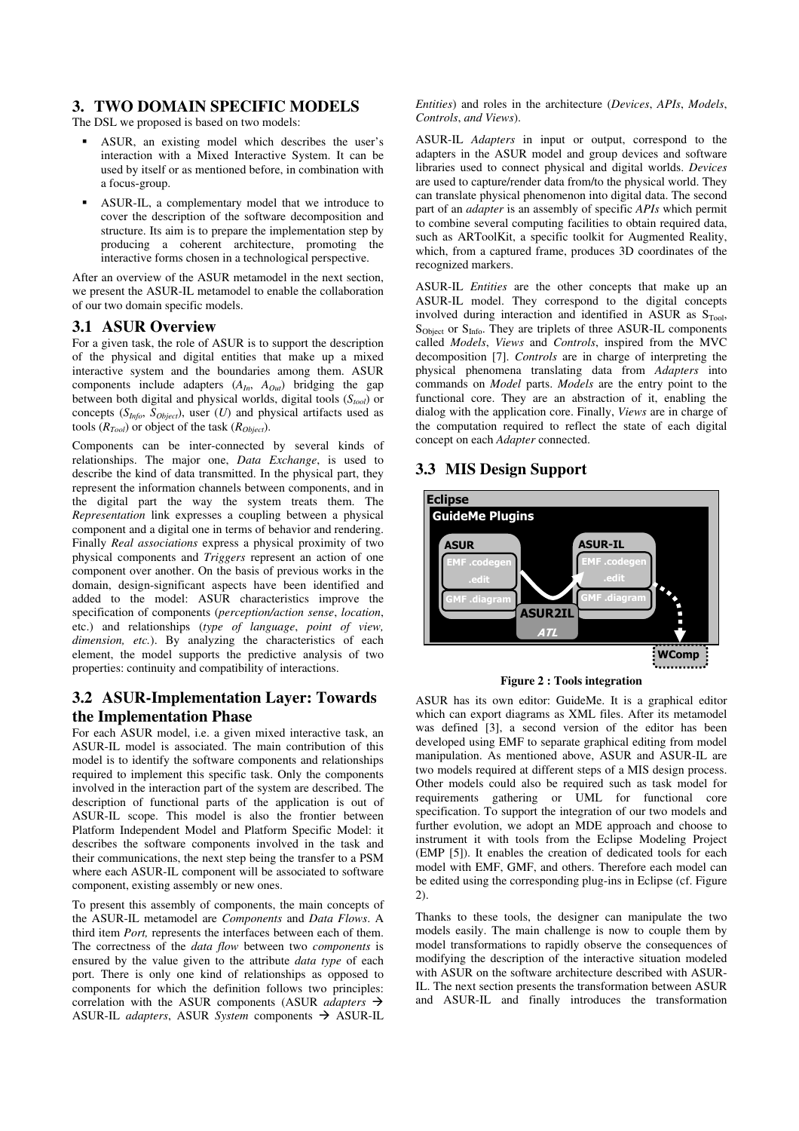## **3. TWO DOMAIN SPECIFIC MODELS**

The DSL we proposed is based on two models:

- ASUR, an existing model which describes the user's interaction with a Mixed Interactive System. It can be used by itself or as mentioned before, in combination with a focus-group.
- ASUR-IL, a complementary model that we introduce to cover the description of the software decomposition and structure. Its aim is to prepare the implementation step by producing a coherent architecture, promoting the interactive forms chosen in a technological perspective.

After an overview of the ASUR metamodel in the next section, we present the ASUR-IL metamodel to enable the collaboration of our two domain specific models.

## **3.1 ASUR Overview**

For a given task, the role of ASUR is to support the description of the physical and digital entities that make up a mixed interactive system and the boundaries among them. ASUR components include adapters (*AIn*, *AOut*) bridging the gap between both digital and physical worlds, digital tools (*Stool*) or concepts  $(S_{Info}, S_{Object})$ , user  $(U)$  and physical artifacts used as tools (*RTool*) or object of the task (*RObject*).

Components can be inter-connected by several kinds of relationships. The major one, *Data Exchange*, is used to describe the kind of data transmitted. In the physical part, they represent the information channels between components, and in the digital part the way the system treats them. The *Representation* link expresses a coupling between a physical component and a digital one in terms of behavior and rendering. Finally *Real associations* express a physical proximity of two physical components and *Triggers* represent an action of one component over another. On the basis of previous works in the domain, design-significant aspects have been identified and added to the model: ASUR characteristics improve the specification of components (*perception/action sense*, *location*, etc.) and relationships (*type of language*, *point of view, dimension, etc.*). By analyzing the characteristics of each element, the model supports the predictive analysis of two properties: continuity and compatibility of interactions.

# **3.2 ASUR-Implementation Layer: Towards the Implementation Phase**

For each ASUR model, i.e. a given mixed interactive task, an ASUR-IL model is associated. The main contribution of this model is to identify the software components and relationships required to implement this specific task. Only the components involved in the interaction part of the system are described. The description of functional parts of the application is out of ASUR-IL scope. This model is also the frontier between Platform Independent Model and Platform Specific Model: it describes the software components involved in the task and their communications, the next step being the transfer to a PSM where each ASUR-IL component will be associated to software component, existing assembly or new ones.

To present this assembly of components, the main concepts of the ASUR-IL metamodel are *Components* and *Data Flows*. A third item *Port,* represents the interfaces between each of them. The correctness of the *data flow* between two *components* is ensured by the value given to the attribute *data type* of each port. There is only one kind of relationships as opposed to components for which the definition follows two principles: correlation with the ASUR components (ASUR *adapters* - ASUR-IL *adapters*, ASUR *System* components → ASUR-IL *Entities*) and roles in the architecture (*Devices*, *APIs*, *Models*, *Controls*, *and Views*).

ASUR-IL *Adapters* in input or output, correspond to the adapters in the ASUR model and group devices and software libraries used to connect physical and digital worlds. *Devices* are used to capture/render data from/to the physical world. They can translate physical phenomenon into digital data. The second part of an *adapter* is an assembly of specific *APIs* which permit to combine several computing facilities to obtain required data, such as ARToolKit, a specific toolkit for Augmented Reality, which, from a captured frame, produces 3D coordinates of the recognized markers.

ASUR-IL *Entities* are the other concepts that make up an ASUR-IL model. They correspond to the digital concepts involved during interaction and identified in ASUR as  $S_{\text{Tool}}$ ,  $S_{Object}$  or  $S_{Info}$ . They are triplets of three ASUR-IL components called *Models*, *Views* and *Controls*, inspired from the MVC decomposition [7]. *Controls* are in charge of interpreting the physical phenomena translating data from *Adapters* into commands on *Model* parts. *Models* are the entry point to the functional core. They are an abstraction of it, enabling the dialog with the application core. Finally, *Views* are in charge of the computation required to reflect the state of each digital concept on each *Adapter* connected.

# **3.3 MIS Design Support**





ASUR has its own editor: GuideMe. It is a graphical editor which can export diagrams as XML files. After its metamodel was defined [3], a second version of the editor has been developed using EMF to separate graphical editing from model manipulation. As mentioned above, ASUR and ASUR-IL are two models required at different steps of a MIS design process. Other models could also be required such as task model for requirements gathering or UML for functional core specification. To support the integration of our two models and further evolution, we adopt an MDE approach and choose to instrument it with tools from the Eclipse Modeling Project (EMP [5]). It enables the creation of dedicated tools for each model with EMF, GMF, and others. Therefore each model can be edited using the corresponding plug-ins in Eclipse (cf. Figure 2).

Thanks to these tools, the designer can manipulate the two models easily. The main challenge is now to couple them by model transformations to rapidly observe the consequences of modifying the description of the interactive situation modeled with ASUR on the software architecture described with ASUR-IL. The next section presents the transformation between ASUR and ASUR-IL and finally introduces the transformation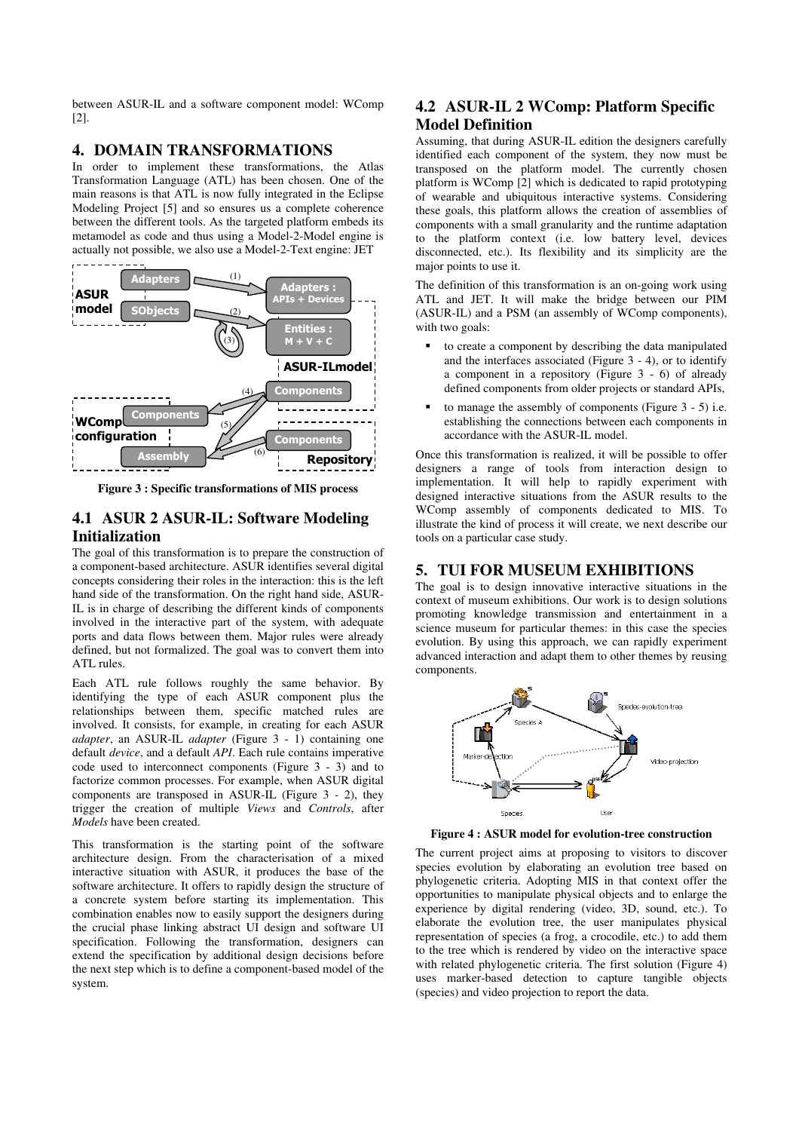between ASUR-IL and a software component model: WComp [2].

## **4. DOMAIN TRANSFORMATIONS**

In order to implement these transformations, the Atlas Transformation Language (ATL) has been chosen. One of the main reasons is that ATL is now fully integrated in the Eclipse Modeling Project [5] and so ensures us a complete coherence between the different tools. As the targeted platform embeds its metamodel as code and thus using a Model-2-Model engine is actually not possible, we also use a Model-2-Text engine: JET



**Figure 3 : Specific transformations of MIS process** 

## **4.1 ASUR 2 ASUR-IL: Software Modeling Initialization**

The goal of this transformation is to prepare the construction of a component-based architecture. ASUR identifies several digital concepts considering their roles in the interaction: this is the left hand side of the transformation. On the right hand side, ASUR-IL is in charge of describing the different kinds of components involved in the interactive part of the system, with adequate ports and data flows between them. Major rules were already defined, but not formalized. The goal was to convert them into ATL rules.

Each ATL rule follows roughly the same behavior. By identifying the type of each ASUR component plus the relationships between them, specific matched rules are involved. It consists, for example, in creating for each ASUR *adapter*, an ASUR-IL *adapter* (Figure 3 - 1) containing one default *device*, and a default *API*. Each rule contains imperative code used to interconnect components (Figure 3 - 3) and to factorize common processes. For example, when ASUR digital components are transposed in ASUR-IL (Figure 3 - 2), they trigger the creation of multiple *Views* and *Controls*, after *Models* have been created.

This transformation is the starting point of the software architecture design. From the characterisation of a mixed interactive situation with ASUR, it produces the base of the software architecture. It offers to rapidly design the structure of a concrete system before starting its implementation. This combination enables now to easily support the designers during the crucial phase linking abstract UI design and software UI specification. Following the transformation, designers can extend the specification by additional design decisions before the next step which is to define a component-based model of the system.

# **4.2 ASUR-IL 2 WComp: Platform Specific Model Definition**

Assuming, that during ASUR-IL edition the designers carefully identified each component of the system, they now must be transposed on the platform model. The currently chosen platform is WComp [2] which is dedicated to rapid prototyping of wearable and ubiquitous interactive systems. Considering these goals, this platform allows the creation of assemblies of components with a small granularity and the runtime adaptation to the platform context (i.e. low battery level, devices disconnected, etc.). Its flexibility and its simplicity are the major points to use it.

The definition of this transformation is an on-going work using ATL and JET. It will make the bridge between our PIM (ASUR-IL) and a PSM (an assembly of WComp components), with two goals:

- to create a component by describing the data manipulated and the interfaces associated (Figure 3 - 4), or to identify a component in a repository (Figure 3 - 6) of already defined components from older projects or standard APIs,
- to manage the assembly of components (Figure 3 5) i.e. establishing the connections between each components in accordance with the ASUR-IL model.

Once this transformation is realized, it will be possible to offer designers a range of tools from interaction design to implementation. It will help to rapidly experiment with designed interactive situations from the ASUR results to the WComp assembly of components dedicated to MIS. To illustrate the kind of process it will create, we next describe our tools on a particular case study.

## **5. TUI FOR MUSEUM EXHIBITIONS**

The goal is to design innovative interactive situations in the context of museum exhibitions. Our work is to design solutions promoting knowledge transmission and entertainment in a science museum for particular themes: in this case the species evolution. By using this approach, we can rapidly experiment advanced interaction and adapt them to other themes by reusing components.



**Figure 4 : ASUR model for evolution-tree construction** 

The current project aims at proposing to visitors to discover species evolution by elaborating an evolution tree based on phylogenetic criteria. Adopting MIS in that context offer the opportunities to manipulate physical objects and to enlarge the experience by digital rendering (video, 3D, sound, etc.). To elaborate the evolution tree, the user manipulates physical representation of species (a frog, a crocodile, etc.) to add them to the tree which is rendered by video on the interactive space with related phylogenetic criteria. The first solution (Figure 4) uses marker-based detection to capture tangible objects (species) and video projection to report the data.